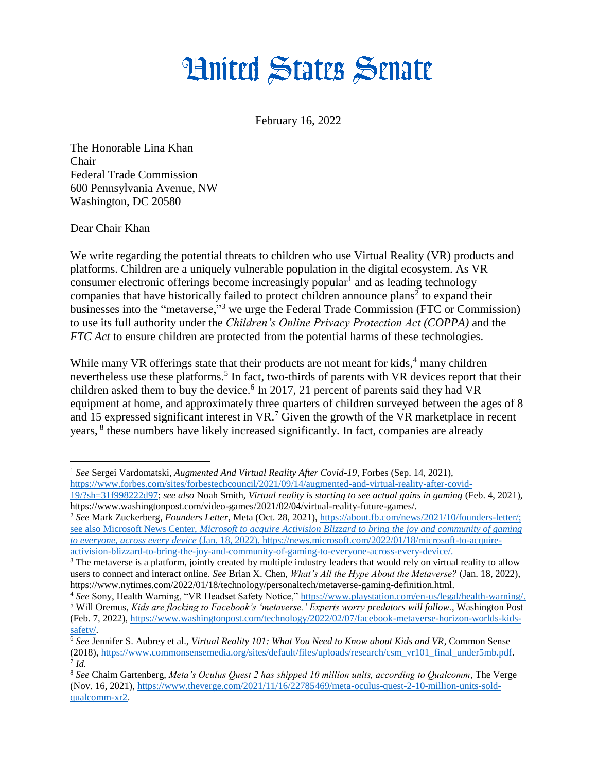## **Hnited States Senate**

February 16, 2022

The Honorable Lina Khan Chair Federal Trade Commission 600 Pennsylvania Avenue, NW Washington, DC 20580

Dear Chair Khan

We write regarding the potential threats to children who use Virtual Reality (VR) products and platforms. Children are a uniquely vulnerable population in the digital ecosystem. As VR consumer electronic offerings become increasingly popular<sup>1</sup> and as leading technology companies that have historically failed to protect children announce plans<sup>2</sup> to expand their businesses into the "metaverse,"<sup>3</sup> we urge the Federal Trade Commission (FTC or Commission) to use its full authority under the *Children's Online Privacy Protection Act (COPPA)* and the *FTC Act* to ensure children are protected from the potential harms of these technologies.

While many VR offerings state that their products are not meant for kids,<sup>4</sup> many children nevertheless use these platforms.<sup>5</sup> In fact, two-thirds of parents with VR devices report that their children asked them to buy the device.<sup>6</sup> In 2017, 21 percent of parents said they had VR equipment at home, and approximately three quarters of children surveyed between the ages of 8 and 15 expressed significant interest in  $VR<sup>7</sup>$  Given the growth of the VR marketplace in recent years, <sup>8</sup> these numbers have likely increased significantly. In fact, companies are already

 $\overline{a}$ <sup>1</sup> *See* Sergei Vardomatski, *Augmented And Virtual Reality After Covid-19*, Forbes (Sep. 14, 2021), [https://www.forbes.com/sites/forbestechcouncil/2021/09/14/augmented-and-virtual-reality-after-covid-](https://www.forbes.com/sites/forbestechcouncil/2021/09/14/augmented-and-virtual-reality-after-covid-19/?sh=31f998222d97)

[<sup>19/?</sup>sh=31f998222d97;](https://www.forbes.com/sites/forbestechcouncil/2021/09/14/augmented-and-virtual-reality-after-covid-19/?sh=31f998222d97) *see also* Noah Smith, *Virtual reality is starting to see actual gains in gaming* (Feb. 4, 2021), https://www.washingtonpost.com/video-games/2021/02/04/virtual-reality-future-games/.

<sup>2</sup> *See* Mark Zuckerberg, *Founders Letter*, Meta (Oct. 28, 2021), [https://about.fb.com/news/2021/10/founders-letter/;](https://about.fb.com/news/2021/10/founders-letter/) see also Microsoft News Center, *Microsoft to acquire Activision Blizzard to bring the joy and community of gaming to everyone, across every device* (Jan. 18, 2022), https://news.microsoft.com/2022/01/18/microsoft-to-acquireactivision-blizzard-to-bring-the-joy-and-community-of-gaming-to-everyone-across-every-device/.

<sup>&</sup>lt;sup>3</sup> The metaverse is a platform, jointly created by multiple industry leaders that would rely on virtual reality to allow users to connect and interact online. *See* Brian X. Chen, *What's All the Hype About the Metaverse?* (Jan. 18, 2022), https://www.nytimes.com/2022/01/18/technology/personaltech/metaverse-gaming-definition.html.

<sup>4</sup> *See* Sony, Health Warning, "VR Headset Safety Notice," [https://www.playstation.com/en-us/legal/health-warning/.](https://www.playstation.com/en-us/legal/health-warning/) <sup>5</sup> Will Oremus, *Kids are flocking to Facebook's 'metaverse.' Experts worry predators will follow.*, Washington Post (Feb. 7, 2022)[, https://www.washingtonpost.com/technology/2022/02/07/facebook-metaverse-horizon-worlds-kids](https://www.washingtonpost.com/technology/2022/02/07/facebook-metaverse-horizon-worlds-kids-safety/)[safety/.](https://www.washingtonpost.com/technology/2022/02/07/facebook-metaverse-horizon-worlds-kids-safety/)

<sup>6</sup> *See* Jennifer S. Aubrey et al., *Virtual Reality 101: What You Need to Know about Kids and VR*, Common Sense (2018)[, https://www.commonsensemedia.org/sites/default/files/uploads/research/csm\\_vr101\\_final\\_under5mb.pdf.](https://www.commonsensemedia.org/sites/default/files/uploads/research/csm_vr101_final_under5mb.pdf) 7 *Id.*

<sup>8</sup> *See* Chaim Gartenberg, *Meta's Oculus Quest 2 has shipped 10 million units, according to Qualcomm*, The Verge (Nov. 16, 2021), [https://www.theverge.com/2021/11/16/22785469/meta-oculus-quest-2-10-million-units-sold](https://www.theverge.com/2021/11/16/22785469/meta-oculus-quest-2-10-million-units-sold-qualcomm-xr2)[qualcomm-xr2.](https://www.theverge.com/2021/11/16/22785469/meta-oculus-quest-2-10-million-units-sold-qualcomm-xr2)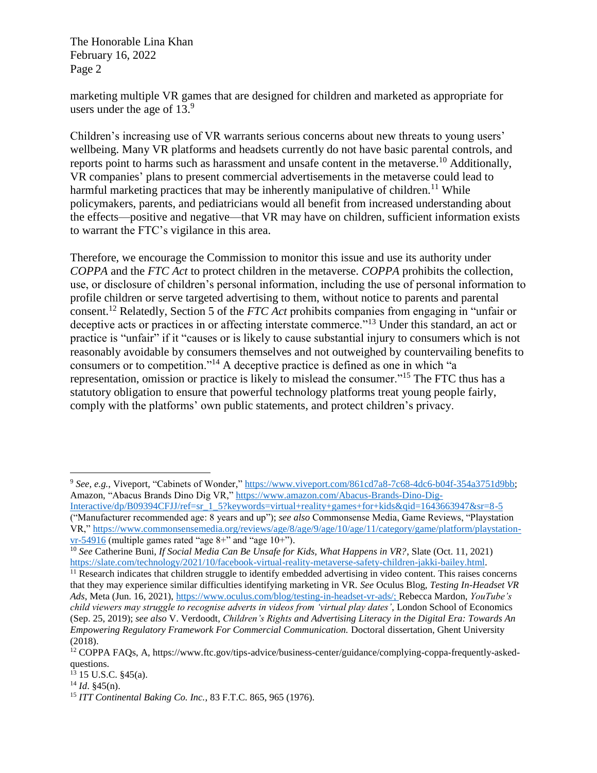The Honorable Lina Khan February 16, 2022 Page 2

marketing multiple VR games that are designed for children and marketed as appropriate for users under the age of  $13.<sup>9</sup>$ 

Children's increasing use of VR warrants serious concerns about new threats to young users' wellbeing. Many VR platforms and headsets currently do not have basic parental controls, and reports point to harms such as harassment and unsafe content in the metaverse.<sup>10</sup> Additionally, VR companies' plans to present commercial advertisements in the metaverse could lead to harmful marketing practices that may be inherently manipulative of children.<sup>11</sup> While policymakers, parents, and pediatricians would all benefit from increased understanding about the effects—positive and negative—that VR may have on children, sufficient information exists to warrant the FTC's vigilance in this area.

Therefore, we encourage the Commission to monitor this issue and use its authority under *COPPA* and the *FTC Act* to protect children in the metaverse. *COPPA* prohibits the collection, use, or disclosure of children's personal information, including the use of personal information to profile children or serve targeted advertising to them, without notice to parents and parental consent. <sup>12</sup> Relatedly, Section 5 of the *FTC Act* prohibits companies from engaging in "unfair or deceptive acts or practices in or affecting interstate commerce."<sup>13</sup> Under this standard, an act or practice is "unfair" if it "causes or is likely to cause substantial injury to consumers which is not reasonably avoidable by consumers themselves and not outweighed by countervailing benefits to consumers or to competition."<sup>14</sup> A deceptive practice is defined as one in which "a representation, omission or practice is likely to mislead the consumer."<sup>15</sup> The FTC thus has a statutory obligation to ensure that powerful technology platforms treat young people fairly, comply with the platforms' own public statements, and protect children's privacy.

 $\overline{a}$ 

<sup>9</sup> *See, e.g.*, Viveport, "Cabinets of Wonder," [https://www.viveport.com/861cd7a8-7c68-4dc6-b04f-354a3751d9bb;](https://www.viveport.com/861cd7a8-7c68-4dc6-b04f-354a3751d9bb) Amazon, "Abacus Brands Dino Dig VR," [https://www.amazon.com/Abacus-Brands-Dino-Dig-](https://www.amazon.com/Abacus-Brands-Dino-Dig-Interactive/dp/B09394CFJJ/ref=sr_1_5?keywords=virtual+reality+games+for+kids&qid=1643663947&sr=8-5)[Interactive/dp/B09394CFJJ/ref=sr\\_1\\_5?keywords=virtual+reality+games+for+kids&qid=1643663947&sr=8-5](https://www.amazon.com/Abacus-Brands-Dino-Dig-Interactive/dp/B09394CFJJ/ref=sr_1_5?keywords=virtual+reality+games+for+kids&qid=1643663947&sr=8-5) ("Manufacturer recommended age: 8 years and up"); *see also* Commonsense Media, Game Reviews, "Playstation VR," [https://www.commonsensemedia.org/reviews/age/8/age/9/age/10/age/11/category/game/platform/playstation](https://www.commonsensemedia.org/reviews/age/8/age/9/age/10/age/11/category/game/platform/playstation-vr-54916)[vr-54916](https://www.commonsensemedia.org/reviews/age/8/age/9/age/10/age/11/category/game/platform/playstation-vr-54916) (multiple games rated "age 8+" and "age 10+").

<sup>10</sup> *See* Catherine Buni, *If Social Media Can Be Unsafe for Kids, What Happens in VR?*, Slate (Oct. 11, 2021) [https://slate.com/technology/2021/10/facebook-virtual-reality-metaverse-safety-children-jakki-bailey.html.](https://slate.com/technology/2021/10/facebook-virtual-reality-metaverse-safety-children-jakki-bailey.html)

 $11$  Research indicates that children struggle to identify embedded advertising in video content. This raises concerns that they may experience similar difficulties identifying marketing in VR. *See* Oculus Blog, *Testing In-Headset VR Ads*, Meta (Jun. 16, 2021)[, https://www.oculus.com/blog/testing-in-headset-vr-ads/;](https://www.oculus.com/blog/testing-in-headset-vr-ads/) Rebecca Mardon, *YouTube's child viewers may struggle to recognise adverts in videos from 'virtual play dates'*, London School of Economics (Sep. 25, 2019); *see also* V. Verdoodt, *Children's Rights and Advertising Literacy in the Digital Era: Towards An Empowering Regulatory Framework For Commercial Communication.* Doctoral dissertation, Ghent University (2018).

<sup>12</sup> COPPA FAQs, A, https://www.ftc.gov/tips-advice/business-center/guidance/complying-coppa-frequently-askedquestions.

 $13$  15 U.S.C. §45(a).

<sup>14</sup> *Id*. §45(n).

<sup>15</sup> *ITT Continental Baking Co. Inc.*, 83 F.T.C. 865, 965 (1976).